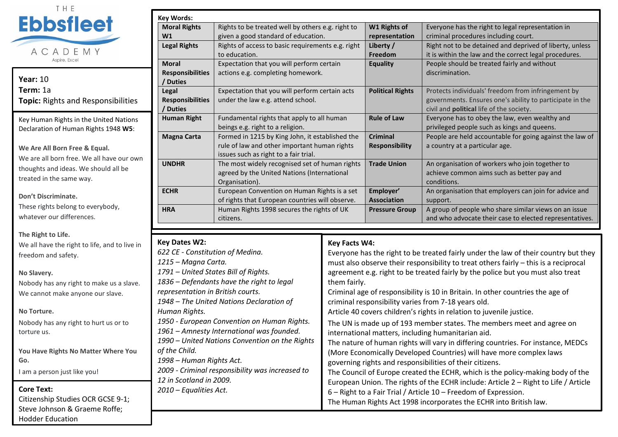

**Year:** 10 **Term:** 1a **Topic:** Rights and Responsibilities

Key Human Rights in the United Nations Declaration of Human Rights 1948 **W5**:

**We Are All Born Free & Equal.** We are all born free. We all have our own thoughts and ideas. We should all be treated in the same way.

**Don't Discriminate.**

These rights belong to everybody, whatever our differences.

**The Right to Life.** We all have the right to life, and to live in freedom and safety.

**No Slavery.** Nobody has any right to make us a slave. We cannot make anyone our slave.

**No Torture.**

Nobody has any right to hurt us or to torture us.

**You Have Rights No Matter Where You Go.**

I am a person just like you!

**Core Text:**

Citizenship Studies OCR GCSE 9-1; Steve Johnson & Graeme Roffe; Hodder Education

| <b>Key Words:</b>       |                                                   |                         |                                                          |
|-------------------------|---------------------------------------------------|-------------------------|----------------------------------------------------------|
| <b>Moral Rights</b>     | Rights to be treated well by others e.g. right to | W1 Rights of            | Everyone has the right to legal representation in        |
| W1                      | given a good standard of education.               | representation          | criminal procedures including court.                     |
| <b>Legal Rights</b>     | Rights of access to basic requirements e.g. right | Liberty /               | Right not to be detained and deprived of liberty, unless |
|                         | to education.                                     | Freedom                 | it is within the law and the correct legal procedures.   |
| <b>Moral</b>            | Expectation that you will perform certain         | <b>Equality</b>         | People should be treated fairly and without              |
| <b>Responsibilities</b> | actions e.g. completing homework.                 |                         | discrimination.                                          |
| / Duties                |                                                   |                         |                                                          |
| Legal                   | Expectation that you will perform certain acts    | <b>Political Rights</b> | Protects individuals' freedom from infringement by       |
| <b>Responsibilities</b> | under the law e.g. attend school.                 |                         | governments. Ensures one's ability to participate in the |
| / Duties                |                                                   |                         | civil and <b>political</b> life of the society.          |
| <b>Human Right</b>      | Fundamental rights that apply to all human        | <b>Rule of Law</b>      | Everyone has to obey the law, even wealthy and           |
|                         | beings e.g. right to a religion.                  |                         | privileged people such as kings and queens.              |
| <b>Magna Carta</b>      | Formed in 1215 by King John, it established the   | <b>Criminal</b>         | People are held accountable for going against the law of |
|                         | rule of law and other important human rights      | <b>Responsibility</b>   | a country at a particular age.                           |
|                         | issues such as right to a fair trial.             |                         |                                                          |
| <b>UNDHR</b>            | The most widely recognised set of human rights    | <b>Trade Union</b>      | An organisation of workers who join together to          |
|                         | agreed by the United Nations (International       |                         | achieve common aims such as better pay and               |
|                         | Organisation).                                    |                         | conditions.                                              |
| <b>ECHR</b>             | European Convention on Human Rights is a set      | Employer'               | An organisation that employers can join for advice and   |
|                         | of rights that European countries will observe.   | <b>Association</b>      | support.                                                 |
| <b>HRA</b>              | Human Rights 1998 secures the rights of UK        | <b>Pressure Group</b>   | A group of people who share similar views on an issue    |
|                         | citizens.                                         |                         | and who advocate their case to elected representatives.  |